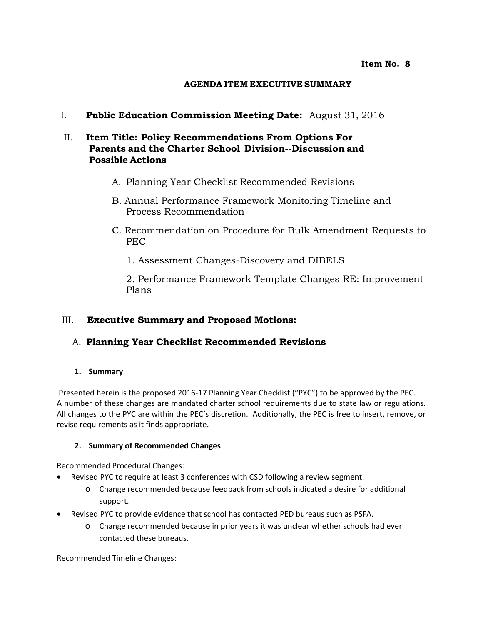### **AGENDA ITEM EXECUTIVE SUMMARY**

I. **Public Education Commission Meeting Date:** August 31, 2016

### II. **Item Title: Policy Recommendations From Options For Parents and the Charter School Division--Discussion and Possible Actions**

- A. Planning Year Checklist Recommended Revisions
- B. Annual Performance Framework Monitoring Timeline and Process Recommendation
- C. Recommendation on Procedure for Bulk Amendment Requests to PEC
	- 1. Assessment Changes-Discovery and DIBELS

2. Performance Framework Template Changes RE: Improvement Plans

### III. **Executive Summary and Proposed Motions:**

### A. **Planning Year Checklist Recommended Revisions**

### **1. Summary**

Presented herein is the proposed 2016-17 Planning Year Checklist ("PYC") to be approved by the PEC. A number of these changes are mandated charter school requirements due to state law or regulations. All changes to the PYC are within the PEC's discretion. Additionally, the PEC is free to insert, remove, or revise requirements as it finds appropriate.

### **2. Summary of Recommended Changes**

Recommended Procedural Changes:

- Revised PYC to require at least 3 conferences with CSD following a review segment.
	- o Change recommended because feedback from schools indicated a desire for additional support.
- Revised PYC to provide evidence that school has contacted PED bureaus such as PSFA.
	- o Change recommended because in prior years it was unclear whether schools had ever contacted these bureaus.

Recommended Timeline Changes: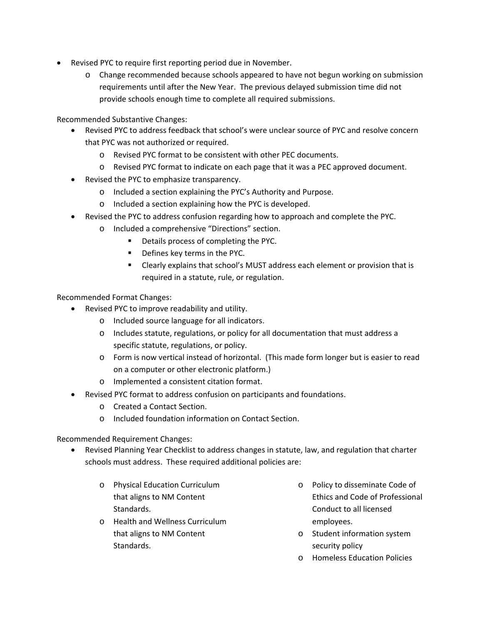- Revised PYC to require first reporting period due in November.
	- o Change recommended because schools appeared to have not begun working on submission requirements until after the New Year. The previous delayed submission time did not provide schools enough time to complete all required submissions.

Recommended Substantive Changes:

- Revised PYC to address feedback that school's were unclear source of PYC and resolve concern that PYC was not authorized or required.
	- o Revised PYC format to be consistent with other PEC documents.
	- o Revised PYC format to indicate on each page that it was a PEC approved document.
- Revised the PYC to emphasize transparency.
	- o Included a section explaining the PYC's Authority and Purpose.
	- o Included a section explaining how the PYC is developed.
- Revised the PYC to address confusion regarding how to approach and complete the PYC.
	- o Included a comprehensive "Directions" section.
		- Details process of completing the PYC.
		- **•** Defines key terms in the PYC.
		- Clearly explains that school's MUST address each element or provision that is required in a statute, rule, or regulation.

Recommended Format Changes:

- Revised PYC to improve readability and utility.
	- o Included source language for all indicators.
	- o Includes statute, regulations, or policy for all documentation that must address a specific statute, regulations, or policy.
	- o Form is now vertical instead of horizontal. (This made form longer but is easier to read on a computer or other electronic platform.)
	- o Implemented a consistent citation format.
- Revised PYC format to address confusion on participants and foundations.
	- o Created a Contact Section.
	- o Included foundation information on Contact Section.

Recommended Requirement Changes:

- Revised Planning Year Checklist to address changes in statute, law, and regulation that charter schools must address. These required additional policies are:
	- o Physical Education Curriculum that aligns to NM Content Standards.
	- o Health and Wellness Curriculum that aligns to NM Content Standards.
- o Policy to disseminate Code of Ethics and Code of Professional Conduct to all licensed employees.
- o Student information system security policy
- o Homeless Education Policies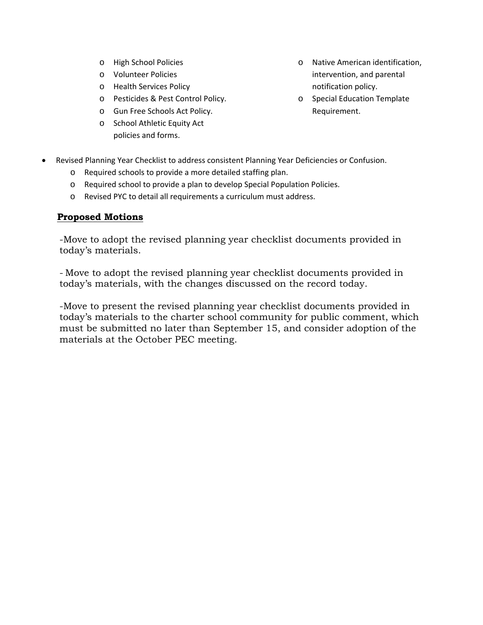- o High School Policies
- o Volunteer Policies
- o Health Services Policy
- o Pesticides & Pest Control Policy.
- o Gun Free Schools Act Policy.
- o School Athletic Equity Act policies and forms.
- o Native American identification, intervention, and parental notification policy.
- o Special Education Template Requirement.
- Revised Planning Year Checklist to address consistent Planning Year Deficiencies or Confusion.
	- o Required schools to provide a more detailed staffing plan.
	- o Required school to provide a plan to develop Special Population Policies.
	- o Revised PYC to detail all requirements a curriculum must address.

### **Proposed Motions**

-Move to adopt the revised planning year checklist documents provided in today's materials.

- Move to adopt the revised planning year checklist documents provided in today's materials, with the changes discussed on the record today.

-Move to present the revised planning year checklist documents provided in today's materials to the charter school community for public comment, which must be submitted no later than September 15, and consider adoption of the materials at the October PEC meeting.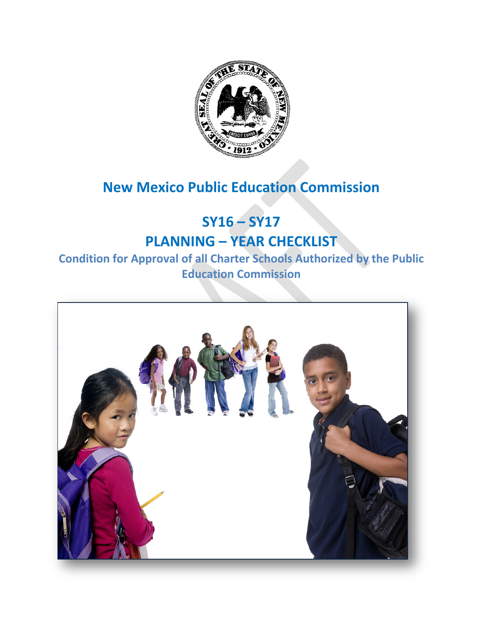

# **New Mexico Public Education Commission**

# **SY16 – SY17 PLANNING – YEAR CHECKLIST**

## **Condition for Approval of all Charter Schools Authorized by the Public Education Commission**

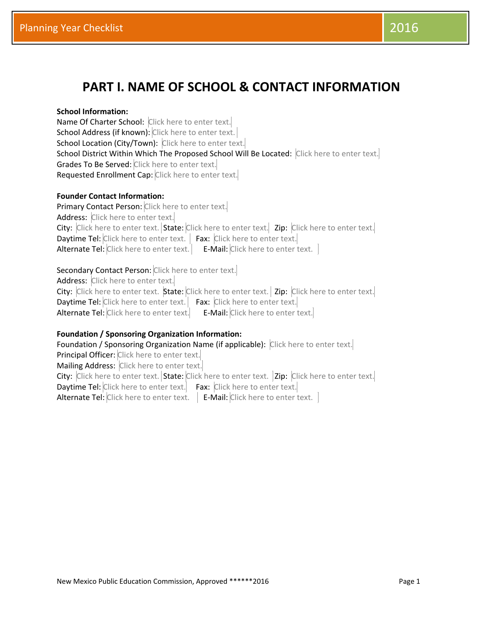## **PART I. NAME OF SCHOOL & CONTACT INFORMATION**

### **School Information:**

Name Of Charter School: Click here to enter text. School Address (if known): Click here to enter text. School Location (City/Town): Click here to enter text. School District Within Which The Proposed School Will Be Located: Click here to enter text. Grades To Be Served: Click here to enter text. Requested Enrollment Cap: Click here to enter text.

### **Founder Contact Information:**

Primary Contact Person: Click here to enter text. Address: Click here to enter text. City: Click here to enter text. State: Click here to enter text. Zip: Click here to enter text. Daytime Tel: Click here to enter text. | Fax: Click here to enter text. Alternate Tel: Click here to enter text. E-Mail: Click here to enter text.

### Secondary Contact Person: Click here to enter text.

Address: Click here to enter text. City: Click here to enter text. State: Click here to enter text. | Zip: Click here to enter text. Daytime Tel: Click here to enter text. Fax: Click here to enter text. Alternate Tel: Click here to enter text. E-Mail: Click here to enter text.

### **Foundation / Sponsoring Organization Information:**

Foundation / Sponsoring Organization Name (if applicable): Click here to enter text. Principal Officer: Click here to enter text. Mailing Address: Click here to enter text. City: Click here to enter text. State: Click here to enter text. | Zip: Click here to enter text.| Daytime Tel: Click here to enter text. Fax: Click here to enter text. Alternate Tel: Click here to enter text. | E-Mail: Click here to enter text. |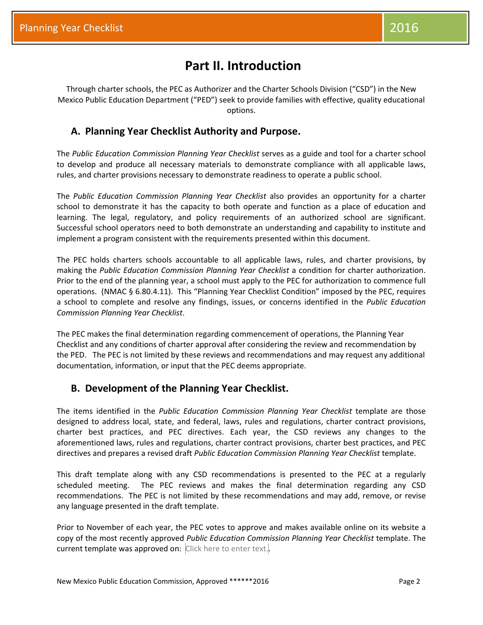## **Part II. Introduction**

Through charter schools, the PEC as Authorizer and the Charter Schools Division ("CSD") in the New Mexico Public Education Department ("PED") seek to provide families with effective, quality educational options.

## **A. Planning Year Checklist Authority and Purpose.**

The *Public Education Commission Planning Year Checklist* serves as a guide and tool for a charter school to develop and produce all necessary materials to demonstrate compliance with all applicable laws, rules, and charter provisions necessary to demonstrate readiness to operate a public school.

The *Public Education Commission Planning Year Checklist* also provides an opportunity for a charter school to demonstrate it has the capacity to both operate and function as a place of education and learning. The legal, regulatory, and policy requirements of an authorized school are significant. Successful school operators need to both demonstrate an understanding and capability to institute and implement a program consistent with the requirements presented within this document.

The PEC holds charters schools accountable to all applicable laws, rules, and charter provisions, by making the *Public Education Commission Planning Year Checklist* a condition for charter authorization. Prior to the end of the planning year, a school must apply to the PEC for authorization to commence full operations. (NMAC § 6.80.4.11). This "Planning Year Checklist Condition" imposed by the PEC, requires a school to complete and resolve any findings, issues, or concerns identified in the *Public Education Commission Planning Year Checklist*.

The PEC makes the final determination regarding commencement of operations, the Planning Year Checklist and any conditions of charter approval after considering the review and recommendation by the PED. The PEC is not limited by these reviews and recommendations and may request any additional documentation, information, or input that the PEC deems appropriate.

## **B. Development of the Planning Year Checklist.**

The items identified in the *Public Education Commission Planning Year Checklist* template are those designed to address local, state, and federal, laws, rules and regulations, charter contract provisions, charter best practices, and PEC directives. Each year, the CSD reviews any changes to the aforementioned laws, rules and regulations, charter contract provisions, charter best practices, and PEC directives and prepares a revised draft *Public Education Commission Planning Year Checklist* template.

This draft template along with any CSD recommendations is presented to the PEC at a regularly scheduled meeting. The PEC reviews and makes the final determination regarding any CSD recommendations. The PEC is not limited by these recommendations and may add, remove, or revise any language presented in the draft template.

Prior to November of each year, the PEC votes to approve and makes available online on its website a copy of the most recently approved *Public Education Commission Planning Year Checklist* template. The current template was approved on: Click here to enter text.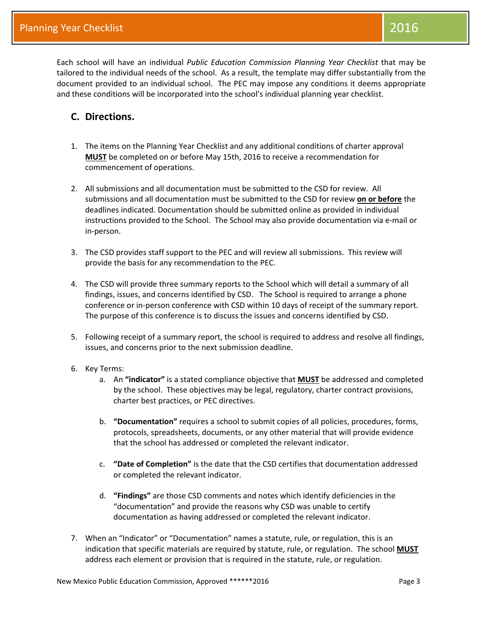Each school will have an individual *Public Education Commission Planning Year Checklist* that may be tailored to the individual needs of the school. As a result, the template may differ substantially from the document provided to an individual school. The PEC may impose any conditions it deems appropriate and these conditions will be incorporated into the school's individual planning year checklist.

## **C. Directions.**

- 1. The items on the Planning Year Checklist and any additional conditions of charter approval **MUST** be completed on or before May 15th, 2016 to receive a recommendation for commencement of operations.
- 2. All submissions and all documentation must be submitted to the CSD for review. All submissions and all documentation must be submitted to the CSD for review **on or before** the deadlines indicated. Documentation should be submitted online as provided in individual instructions provided to the School. The School may also provide documentation via e-mail or in-person.
- 3. The CSD provides staff support to the PEC and will review all submissions. This review will provide the basis for any recommendation to the PEC.
- 4. The CSD will provide three summary reports to the School which will detail a summary of all findings, issues, and concerns identified by CSD. The School is required to arrange a phone conference or in-person conference with CSD within 10 days of receipt of the summary report. The purpose of this conference is to discuss the issues and concerns identified by CSD.
- 5. Following receipt of a summary report, the school is required to address and resolve all findings, issues, and concerns prior to the next submission deadline.
- 6. Key Terms:
	- a. An **"indicator"** is a stated compliance objective that **MUST** be addressed and completed by the school. These objectives may be legal, regulatory, charter contract provisions, charter best practices, or PEC directives.
	- b. **"Documentation"** requires a school to submit copies of all policies, procedures, forms, protocols, spreadsheets, documents, or any other material that will provide evidence that the school has addressed or completed the relevant indicator.
	- c. **"Date of Completion"** is the date that the CSD certifies that documentation addressed or completed the relevant indicator.
	- d. **"Findings"** are those CSD comments and notes which identify deficiencies in the "documentation" and provide the reasons why CSD was unable to certify documentation as having addressed or completed the relevant indicator.
- 7. When an "Indicator" or "Documentation" names a statute, rule, or regulation, this is an indication that specific materials are required by statute, rule, or regulation. The school **MUST** address each element or provision that is required in the statute, rule, or regulation.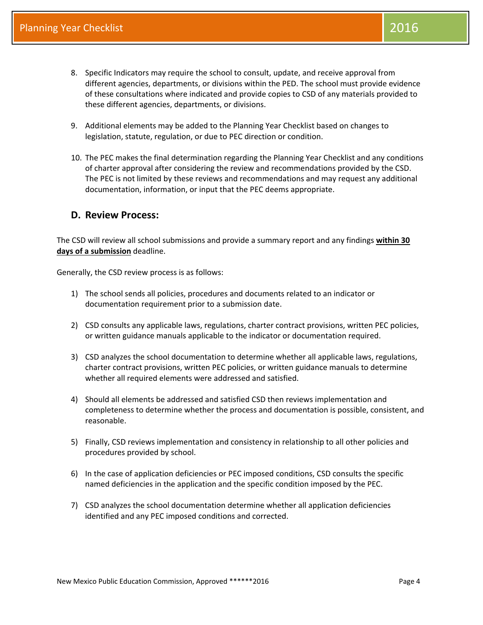- 8. Specific Indicators may require the school to consult, update, and receive approval from different agencies, departments, or divisions within the PED. The school must provide evidence of these consultations where indicated and provide copies to CSD of any materials provided to these different agencies, departments, or divisions.
- 9. Additional elements may be added to the Planning Year Checklist based on changes to legislation, statute, regulation, or due to PEC direction or condition.
- 10. The PEC makes the final determination regarding the Planning Year Checklist and any conditions of charter approval after considering the review and recommendations provided by the CSD. The PEC is not limited by these reviews and recommendations and may request any additional documentation, information, or input that the PEC deems appropriate.

### **D. Review Process:**

The CSD will review all school submissions and provide a summary report and any findings **within 30 days of a submission** deadline.

Generally, the CSD review process is as follows:

- 1) The school sends all policies, procedures and documents related to an indicator or documentation requirement prior to a submission date.
- 2) CSD consults any applicable laws, regulations, charter contract provisions, written PEC policies, or written guidance manuals applicable to the indicator or documentation required.
- 3) CSD analyzes the school documentation to determine whether all applicable laws, regulations, charter contract provisions, written PEC policies, or written guidance manuals to determine whether all required elements were addressed and satisfied.
- 4) Should all elements be addressed and satisfied CSD then reviews implementation and completeness to determine whether the process and documentation is possible, consistent, and reasonable.
- 5) Finally, CSD reviews implementation and consistency in relationship to all other policies and procedures provided by school.
- 6) In the case of application deficiencies or PEC imposed conditions, CSD consults the specific named deficiencies in the application and the specific condition imposed by the PEC.
- 7) CSD analyzes the school documentation determine whether all application deficiencies identified and any PEC imposed conditions and corrected.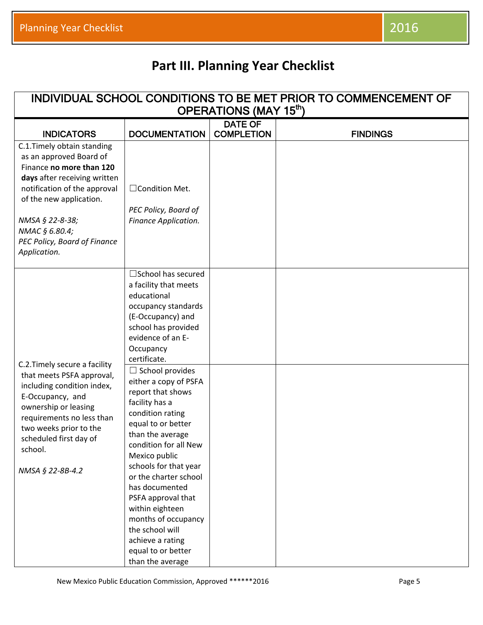| INDIVIDUAL SCHOOL CONDITIONS TO BE MET PRIOR TO COMMENCEMENT OF                                                                                                                                                                                                    |                                                                                                                                                                                                                                                                                                                                                                                           |                                     |                 |  |  |  |
|--------------------------------------------------------------------------------------------------------------------------------------------------------------------------------------------------------------------------------------------------------------------|-------------------------------------------------------------------------------------------------------------------------------------------------------------------------------------------------------------------------------------------------------------------------------------------------------------------------------------------------------------------------------------------|-------------------------------------|-----------------|--|--|--|
| OPERATIONS (MAY 15 <sup>th</sup> )                                                                                                                                                                                                                                 |                                                                                                                                                                                                                                                                                                                                                                                           |                                     |                 |  |  |  |
| <b>INDICATORS</b>                                                                                                                                                                                                                                                  | <b>DOCUMENTATION</b>                                                                                                                                                                                                                                                                                                                                                                      | <b>DATE OF</b><br><b>COMPLETION</b> | <b>FINDINGS</b> |  |  |  |
| C.1. Timely obtain standing<br>as an approved Board of<br>Finance no more than 120<br>days after receiving written<br>notification of the approval<br>of the new application.<br>NMSA § 22-8-38;<br>NMAC § 6.80.4;<br>PEC Policy, Board of Finance<br>Application. | □Condition Met.<br>PEC Policy, Board of<br>Finance Application.                                                                                                                                                                                                                                                                                                                           |                                     |                 |  |  |  |
| C.2. Timely secure a facility                                                                                                                                                                                                                                      | $\square$ School has secured<br>a facility that meets<br>educational<br>occupancy standards<br>(E-Occupancy) and<br>school has provided<br>evidence of an E-<br>Occupancy<br>certificate.<br>$\Box$ School provides                                                                                                                                                                       |                                     |                 |  |  |  |
| that meets PSFA approval,<br>including condition index,<br>E-Occupancy, and<br>ownership or leasing<br>requirements no less than<br>two weeks prior to the<br>scheduled first day of<br>school.<br>NMSA § 22-8B-4.2                                                | either a copy of PSFA<br>report that shows<br>facility has a<br>condition rating<br>equal to or better<br>than the average<br>condition for all New<br>Mexico public<br>schools for that year<br>or the charter school<br>has documented<br>PSFA approval that<br>within eighteen<br>months of occupancy<br>the school will<br>achieve a rating<br>equal to or better<br>than the average |                                     |                 |  |  |  |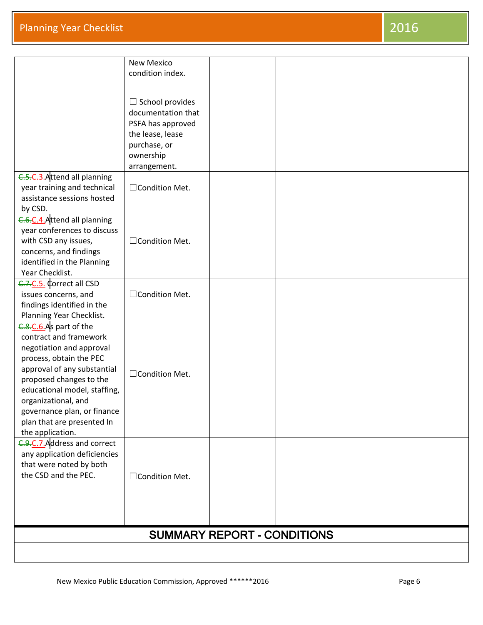| C.5.C.3. Attend all planning<br>year training and technical<br>assistance sessions hosted                                                                                                                                                                                                                 | <b>New Mexico</b><br>condition index.<br>$\Box$ School provides<br>documentation that<br>PSFA has approved<br>the lease, lease<br>purchase, or<br>ownership<br>arrangement.<br>□ Condition Met. |                                    |  |  |
|-----------------------------------------------------------------------------------------------------------------------------------------------------------------------------------------------------------------------------------------------------------------------------------------------------------|-------------------------------------------------------------------------------------------------------------------------------------------------------------------------------------------------|------------------------------------|--|--|
| by CSD.<br>C.6.C.4. Attend all planning<br>year conferences to discuss<br>with CSD any issues,<br>concerns, and findings<br>identified in the Planning<br>Year Checklist.                                                                                                                                 | □ Condition Met.                                                                                                                                                                                |                                    |  |  |
| C.7.C.5. Correct all CSD<br>issues concerns, and<br>findings identified in the<br>Planning Year Checklist.                                                                                                                                                                                                | □Condition Met.                                                                                                                                                                                 |                                    |  |  |
| C.8.C.6.As part of the<br>contract and framework<br>negotiation and approval<br>process, obtain the PEC<br>approval of any substantial<br>proposed changes to the<br>educational model, staffing,<br>organizational, and<br>governance plan, or finance<br>plan that are presented In<br>the application. | □ Condition Met.                                                                                                                                                                                |                                    |  |  |
| C.9.C.7. Address and correct<br>any application deficiencies<br>that were noted by both<br>the CSD and the PEC.                                                                                                                                                                                           | □ Condition Met.                                                                                                                                                                                |                                    |  |  |
|                                                                                                                                                                                                                                                                                                           |                                                                                                                                                                                                 | <b>SUMMARY REPORT - CONDITIONS</b> |  |  |
|                                                                                                                                                                                                                                                                                                           |                                                                                                                                                                                                 |                                    |  |  |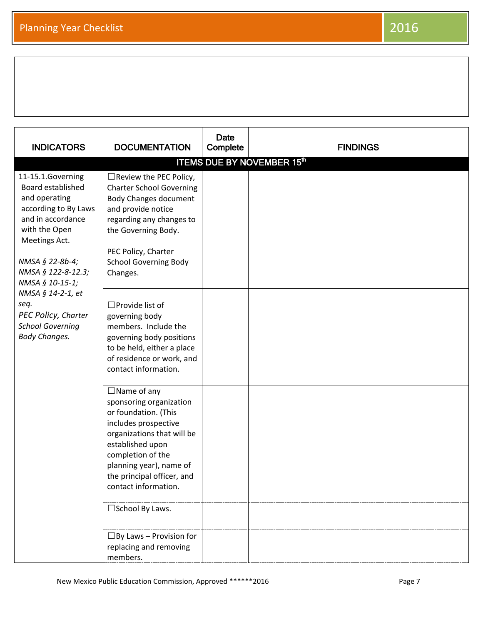| <b>INDICATORS</b>                                                                                                                                                                                                     | <b>DOCUMENTATION</b>                                                                                                                                                                                                                                                       | Date<br>Complete | <b>FINDINGS</b>                   |
|-----------------------------------------------------------------------------------------------------------------------------------------------------------------------------------------------------------------------|----------------------------------------------------------------------------------------------------------------------------------------------------------------------------------------------------------------------------------------------------------------------------|------------------|-----------------------------------|
|                                                                                                                                                                                                                       |                                                                                                                                                                                                                                                                            |                  | <b>ITEMS DUE BY NOVEMBER 15th</b> |
| 11-15.1.Governing<br>Board established<br>and operating<br>according to By Laws<br>and in accordance<br>with the Open<br>Meetings Act.<br>NMSA § 22-8b-4;<br>NMSA § 122-8-12.3;                                       | $\Box$ Review the PEC Policy,<br><b>Charter School Governing</b><br><b>Body Changes document</b><br>and provide notice<br>regarding any changes to<br>the Governing Body.<br>PEC Policy, Charter<br><b>School Governing Body</b><br>Changes.                               |                  |                                   |
| NMSA § 10-15-1;<br>NMSA § 14-2-1, et<br>seq.<br>$\square$ Provide list of<br>PEC Policy, Charter<br>governing body<br><b>School Governing</b><br>members. Include the<br><b>Body Changes.</b><br>contact information. | governing body positions<br>to be held, either a place<br>of residence or work, and                                                                                                                                                                                        |                  |                                   |
|                                                                                                                                                                                                                       | $\Box$ Name of any<br>sponsoring organization<br>or foundation. (This<br>includes prospective<br>organizations that will be<br>established upon<br>completion of the<br>planning year), name of<br>the principal officer, and<br>contact information.<br>□ School By Laws. |                  |                                   |
|                                                                                                                                                                                                                       | $\Box$ By Laws - Provision for<br>replacing and removing<br>members.                                                                                                                                                                                                       |                  |                                   |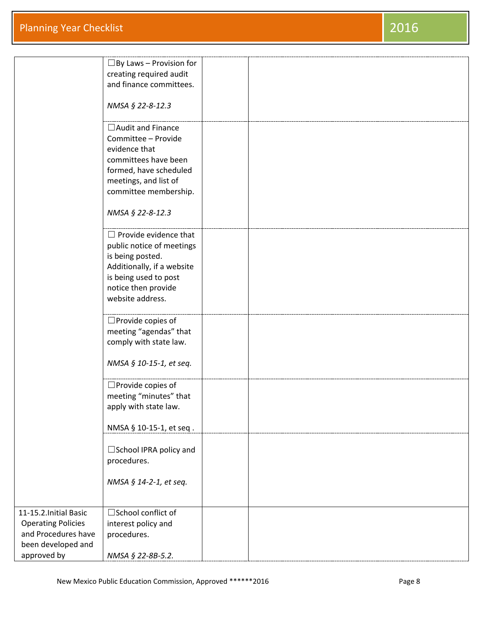|                           | $\Box$ By Laws – Provision for |  |
|---------------------------|--------------------------------|--|
|                           | creating required audit        |  |
|                           | and finance committees.        |  |
|                           |                                |  |
|                           | NMSA § 22-8-12.3               |  |
|                           |                                |  |
|                           | $\Box$ Audit and Finance       |  |
|                           | Committee - Provide            |  |
|                           | evidence that                  |  |
|                           | committees have been           |  |
|                           |                                |  |
|                           | formed, have scheduled         |  |
|                           | meetings, and list of          |  |
|                           | committee membership.          |  |
|                           |                                |  |
|                           | NMSA § 22-8-12.3               |  |
|                           |                                |  |
|                           | $\Box$ Provide evidence that   |  |
|                           | public notice of meetings      |  |
|                           | is being posted.               |  |
|                           | Additionally, if a website     |  |
|                           | is being used to post          |  |
|                           | notice then provide            |  |
|                           | website address.               |  |
|                           |                                |  |
|                           | $\square$ Provide copies of    |  |
|                           | meeting "agendas" that         |  |
|                           | comply with state law.         |  |
|                           |                                |  |
|                           | NMSA § 10-15-1, et seq.        |  |
|                           |                                |  |
|                           | $\square$ Provide copies of    |  |
|                           | meeting "minutes" that         |  |
|                           | apply with state law.          |  |
|                           |                                |  |
|                           | NMSA § 10-15-1, et seq.        |  |
|                           |                                |  |
|                           | □School IPRA policy and        |  |
|                           | procedures.                    |  |
|                           |                                |  |
|                           | NMSA § 14-2-1, et seq.         |  |
|                           |                                |  |
|                           |                                |  |
| 11-15.2. Initial Basic    | □ School conflict of           |  |
| <b>Operating Policies</b> | interest policy and            |  |
| and Procedures have       | procedures.                    |  |
| been developed and        |                                |  |
| approved by               | NMSA § 22-8B-5.2.              |  |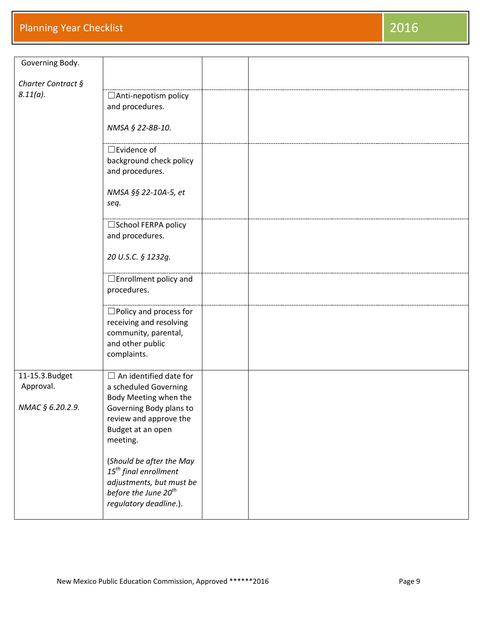| Governing Body.    |                                  |  |
|--------------------|----------------------------------|--|
| Charter Contract § |                                  |  |
| $8.11(a)$ .        |                                  |  |
|                    | □ Anti-nepotism policy           |  |
|                    | and procedures.                  |  |
|                    |                                  |  |
|                    | NMSA § 22-8B-10.                 |  |
|                    |                                  |  |
|                    | $\square$ Evidence of            |  |
|                    | background check policy          |  |
|                    | and procedures.                  |  |
|                    |                                  |  |
|                    | NMSA §§ 22-10A-5, et             |  |
|                    |                                  |  |
|                    | seq.                             |  |
|                    |                                  |  |
|                    | □School FERPA policy             |  |
|                    | and procedures.                  |  |
|                    |                                  |  |
|                    | 20 U.S.C. § 1232g.               |  |
|                    |                                  |  |
|                    | $\Box$ Enrollment policy and     |  |
|                    | procedures.                      |  |
|                    |                                  |  |
|                    | $\Box$ Policy and process for    |  |
|                    | receiving and resolving          |  |
|                    | community, parental,             |  |
|                    | and other public                 |  |
|                    | complaints.                      |  |
|                    |                                  |  |
| 11-15.3. Budget    | $\Box$ An identified date for    |  |
| Approval.          | a scheduled Governing            |  |
|                    | Body Meeting when the            |  |
| NMAC § 6.20.2.9.   | Governing Body plans to          |  |
|                    |                                  |  |
|                    | review and approve the           |  |
|                    | Budget at an open                |  |
|                    | meeting.                         |  |
|                    |                                  |  |
|                    | (Should be after the May         |  |
|                    | $15th$ final enrollment          |  |
|                    | adjustments, but must be         |  |
|                    | before the June 20 <sup>th</sup> |  |
|                    | regulatory deadline.).           |  |
|                    |                                  |  |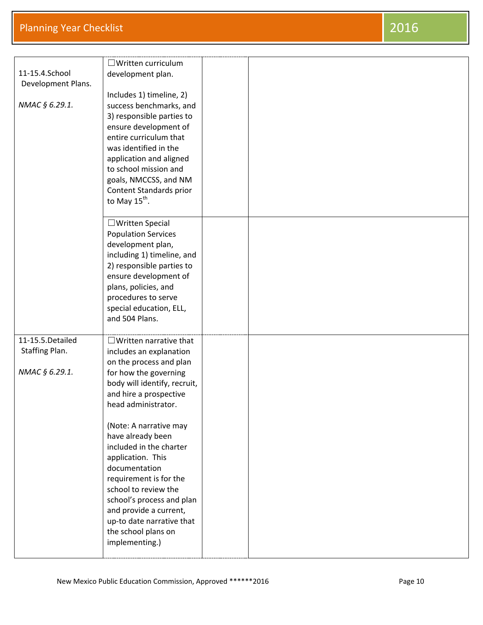|                    | $\Box$ Written curriculum     |  |
|--------------------|-------------------------------|--|
| 11-15.4.School     | development plan.             |  |
| Development Plans. |                               |  |
|                    | Includes 1) timeline, 2)      |  |
| NMAC § 6.29.1.     | success benchmarks, and       |  |
|                    | 3) responsible parties to     |  |
|                    | ensure development of         |  |
|                    | entire curriculum that        |  |
|                    | was identified in the         |  |
|                    | application and aligned       |  |
|                    | to school mission and         |  |
|                    | goals, NMCCSS, and NM         |  |
|                    | Content Standards prior       |  |
|                    | to May 15 <sup>th</sup> .     |  |
|                    |                               |  |
|                    |                               |  |
|                    | □ Written Special             |  |
|                    | <b>Population Services</b>    |  |
|                    | development plan,             |  |
|                    | including 1) timeline, and    |  |
|                    | 2) responsible parties to     |  |
|                    | ensure development of         |  |
|                    | plans, policies, and          |  |
|                    | procedures to serve           |  |
|                    | special education, ELL,       |  |
|                    | and 504 Plans.                |  |
|                    |                               |  |
| 11-15.5. Detailed  | $\Box$ Written narrative that |  |
| Staffing Plan.     | includes an explanation       |  |
|                    | on the process and plan       |  |
| NMAC § 6.29.1.     | for how the governing         |  |
|                    | body will identify, recruit,  |  |
|                    | and hire a prospective        |  |
|                    | head administrator.           |  |
|                    |                               |  |
|                    | (Note: A narrative may        |  |
|                    | have already been             |  |
|                    | included in the charter       |  |
|                    |                               |  |
|                    | application. This             |  |
|                    | documentation                 |  |
|                    | requirement is for the        |  |
|                    | school to review the          |  |
|                    | school's process and plan     |  |
|                    | and provide a current,        |  |
|                    | up-to date narrative that     |  |
|                    | the school plans on           |  |
|                    | implementing.)                |  |
|                    |                               |  |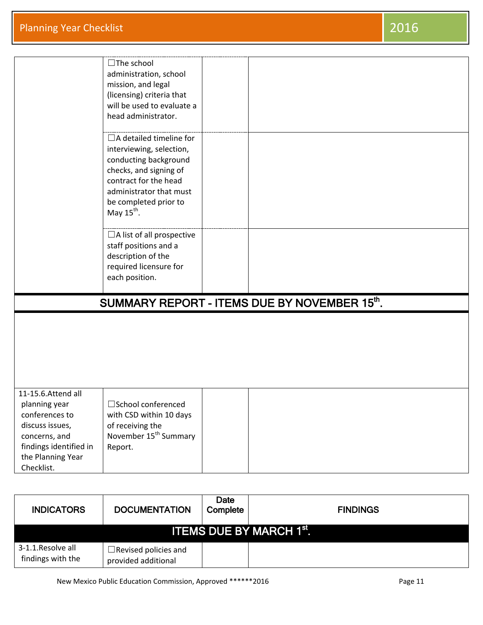|                        | $\Box$ The school                 |                                              |
|------------------------|-----------------------------------|----------------------------------------------|
|                        | administration, school            |                                              |
|                        | mission, and legal                |                                              |
|                        | (licensing) criteria that         |                                              |
|                        | will be used to evaluate a        |                                              |
|                        | head administrator.               |                                              |
|                        |                                   |                                              |
|                        | $\Box$ A detailed timeline for    |                                              |
|                        | interviewing, selection,          |                                              |
|                        | conducting background             |                                              |
|                        | checks, and signing of            |                                              |
|                        | contract for the head             |                                              |
|                        | administrator that must           |                                              |
|                        | be completed prior to             |                                              |
|                        | May $15^{th}$ .                   |                                              |
|                        |                                   |                                              |
|                        | $\Box$ A list of all prospective  |                                              |
|                        | staff positions and a             |                                              |
|                        | description of the                |                                              |
|                        | required licensure for            |                                              |
|                        | each position.                    |                                              |
|                        |                                   |                                              |
|                        |                                   | SUMMARY REPORT - ITEMS DUE BY NOVEMBER 15th. |
|                        |                                   |                                              |
|                        |                                   |                                              |
|                        |                                   |                                              |
|                        |                                   |                                              |
|                        |                                   |                                              |
|                        |                                   |                                              |
| 11-15.6.Attend all     |                                   |                                              |
| planning year          | □School conferenced               |                                              |
| conferences to         | with CSD within 10 days           |                                              |
| discuss issues,        | of receiving the                  |                                              |
| concerns, and          | November 15 <sup>th</sup> Summary |                                              |
| findings identified in | Report.                           |                                              |
|                        |                                   |                                              |
| the Planning Year      |                                   |                                              |
| Checklist.             |                                   |                                              |

| <b>INDICATORS</b>                       | <b>DOCUMENTATION</b>                               | Date<br>Complete | <b>FINDINGS</b> |  |
|-----------------------------------------|----------------------------------------------------|------------------|-----------------|--|
| ITEMS DUE BY MARCH 1st.1                |                                                    |                  |                 |  |
| 3-1.1. Resolve all<br>findings with the | $\Box$ Revised policies and<br>provided additional |                  |                 |  |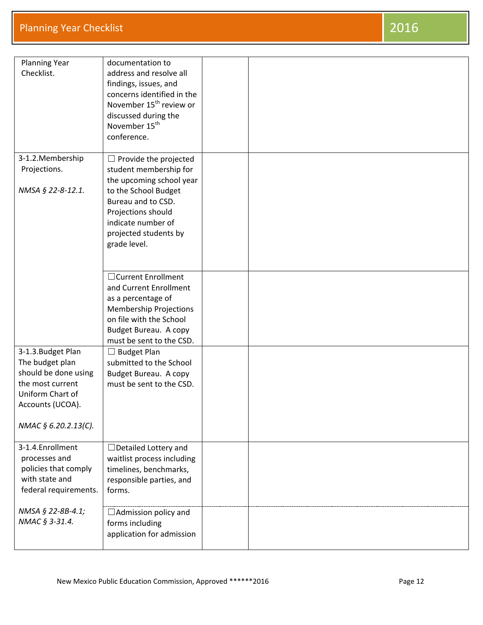| <b>Planning Year</b><br>Checklist.                                                                                                                | documentation to<br>address and resolve all<br>findings, issues, and<br>concerns identified in the<br>November 15 <sup>th</sup> review or<br>discussed during the<br>November 15 <sup>th</sup><br>conference.         |  |
|---------------------------------------------------------------------------------------------------------------------------------------------------|-----------------------------------------------------------------------------------------------------------------------------------------------------------------------------------------------------------------------|--|
| 3-1.2. Membership<br>Projections.<br>NMSA § 22-8-12.1.                                                                                            | $\Box$ Provide the projected<br>student membership for<br>the upcoming school year<br>to the School Budget<br>Bureau and to CSD.<br>Projections should<br>indicate number of<br>projected students by<br>grade level. |  |
|                                                                                                                                                   | □ Current Enrollment<br>and Current Enrollment<br>as a percentage of<br>Membership Projections<br>on file with the School<br>Budget Bureau. A copy<br>must be sent to the CSD.                                        |  |
| 3-1.3. Budget Plan<br>The budget plan<br>should be done using<br>the most current<br>Uniform Chart of<br>Accounts (UCOA).<br>NMAC § 6.20.2.13(C). | $\Box$ Budget Plan<br>submitted to the School<br>Budget Bureau. A copy<br>must be sent to the CSD.                                                                                                                    |  |
| 3-1.4. Enrollment<br>processes and<br>policies that comply<br>with state and<br>federal requirements.                                             | $\Box$ Detailed Lottery and<br>waitlist process including<br>timelines, benchmarks,<br>responsible parties, and<br>forms.                                                                                             |  |
| NMSA § 22-8B-4.1;<br>NMAC § 3-31.4.                                                                                                               | □ Admission policy and<br>forms including<br>application for admission                                                                                                                                                |  |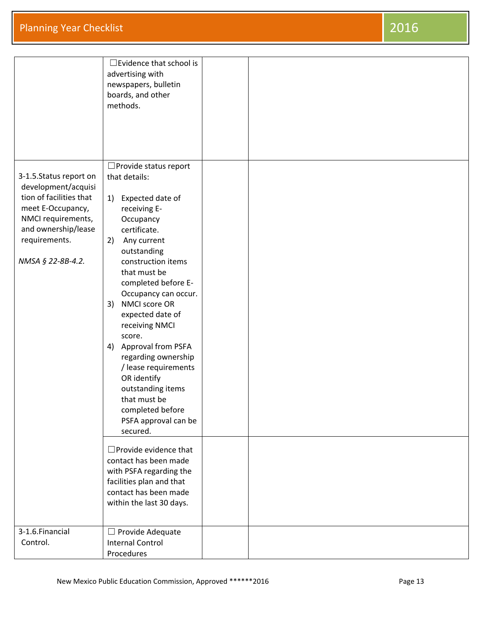|                         | $\Box$ Evidence that school is  |  |
|-------------------------|---------------------------------|--|
|                         |                                 |  |
|                         | advertising with                |  |
|                         | newspapers, bulletin            |  |
|                         | boards, and other               |  |
|                         | methods.                        |  |
|                         |                                 |  |
|                         |                                 |  |
|                         |                                 |  |
|                         |                                 |  |
|                         |                                 |  |
|                         | $\Box$ Provide status report    |  |
| 3-1.5.Status report on  | that details:                   |  |
| development/acquisi     |                                 |  |
| tion of facilities that | Expected date of<br>1)          |  |
| meet E-Occupancy,       | receiving E-                    |  |
| NMCI requirements,      |                                 |  |
|                         | Occupancy                       |  |
| and ownership/lease     | certificate.                    |  |
| requirements.           | Any current<br>2)               |  |
|                         | outstanding                     |  |
| NMSA § 22-8B-4.2.       | construction items              |  |
|                         | that must be                    |  |
|                         | completed before E-             |  |
|                         | Occupancy can occur.            |  |
|                         | NMCI score OR<br>3)             |  |
|                         | expected date of                |  |
|                         | receiving NMCI                  |  |
|                         | score.                          |  |
|                         | 4) Approval from PSFA           |  |
|                         |                                 |  |
|                         | regarding ownership             |  |
|                         | / lease requirements            |  |
|                         | OR identify                     |  |
|                         | outstanding items               |  |
|                         | that must be                    |  |
|                         | completed before                |  |
|                         | PSFA approval can be            |  |
|                         | secured.                        |  |
|                         |                                 |  |
|                         | $\square$ Provide evidence that |  |
|                         | contact has been made           |  |
|                         | with PSFA regarding the         |  |
|                         | facilities plan and that        |  |
|                         | contact has been made           |  |
|                         | within the last 30 days.        |  |
|                         |                                 |  |
|                         |                                 |  |
| 3-1.6. Financial        | $\Box$ Provide Adequate         |  |
| Control.                | <b>Internal Control</b>         |  |
|                         | Procedures                      |  |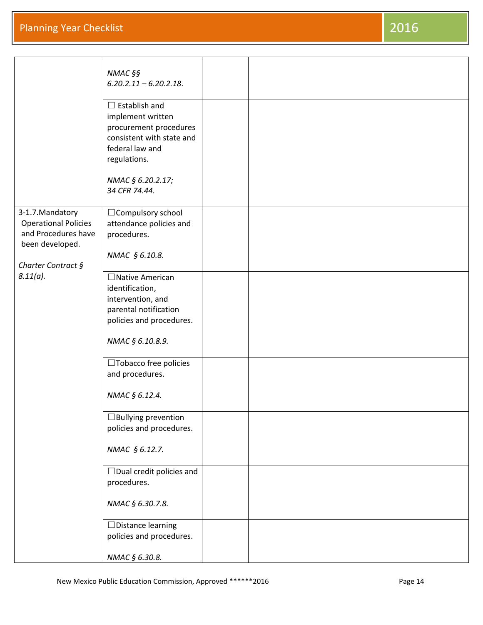|                                                                                           | NMAC §§<br>$6.20.2.11 - 6.20.2.18$ .                                                                                                |  |
|-------------------------------------------------------------------------------------------|-------------------------------------------------------------------------------------------------------------------------------------|--|
|                                                                                           | $\Box$ Establish and<br>implement written<br>procurement procedures<br>consistent with state and<br>federal law and<br>regulations. |  |
|                                                                                           | NMAC § 6.20.2.17;<br>34 CFR 74.44.                                                                                                  |  |
| 3-1.7. Mandatory<br><b>Operational Policies</b><br>and Procedures have<br>been developed. | □ Compulsory school<br>attendance policies and<br>procedures.                                                                       |  |
| Charter Contract §                                                                        | NMAC § 6.10.8.                                                                                                                      |  |
| $8.11(a)$ .                                                                               | $\Box$ Native American<br>identification,<br>intervention, and<br>parental notification<br>policies and procedures.                 |  |
|                                                                                           | NMAC § 6.10.8.9.                                                                                                                    |  |
|                                                                                           | $\Box$ Tobacco free policies<br>and procedures.                                                                                     |  |
|                                                                                           | NMAC § 6.12.4.                                                                                                                      |  |
|                                                                                           | $\Box$ Bullying prevention<br>policies and procedures.                                                                              |  |
|                                                                                           | NMAC § 6.12.7.                                                                                                                      |  |
|                                                                                           | $\Box$ Dual credit policies and<br>procedures.                                                                                      |  |
|                                                                                           | NMAC § 6.30.7.8.                                                                                                                    |  |
|                                                                                           | $\Box$ Distance learning<br>policies and procedures.                                                                                |  |
|                                                                                           | NMAC § 6.30.8.                                                                                                                      |  |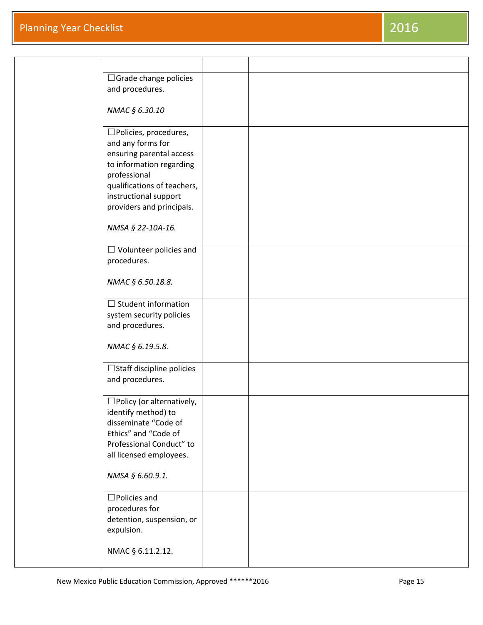| $\Box$ Grade change policies                               |  |
|------------------------------------------------------------|--|
| and procedures.                                            |  |
| NMAC § 6.30.10                                             |  |
| $\square$ Policies, procedures,                            |  |
| and any forms for<br>ensuring parental access              |  |
| to information regarding<br>professional                   |  |
| qualifications of teachers,                                |  |
| instructional support<br>providers and principals.         |  |
|                                                            |  |
| NMSA § 22-10A-16.                                          |  |
| $\Box$ Volunteer policies and<br>procedures.               |  |
|                                                            |  |
| NMAC § 6.50.18.8.                                          |  |
| $\Box$ Student information<br>system security policies     |  |
| and procedures.                                            |  |
| NMAC § 6.19.5.8.                                           |  |
| □ Staff discipline policies                                |  |
| and procedures.                                            |  |
| $\square$ Policy (or alternatively,<br>identify method) to |  |
| disseminate "Code of                                       |  |
| Ethics" and "Code of<br>Professional Conduct" to           |  |
| all licensed employees.                                    |  |
| NMSA § 6.60.9.1.                                           |  |
| $\Box$ Policies and                                        |  |
| procedures for<br>detention, suspension, or                |  |
| expulsion.                                                 |  |
| NMAC § 6.11.2.12.                                          |  |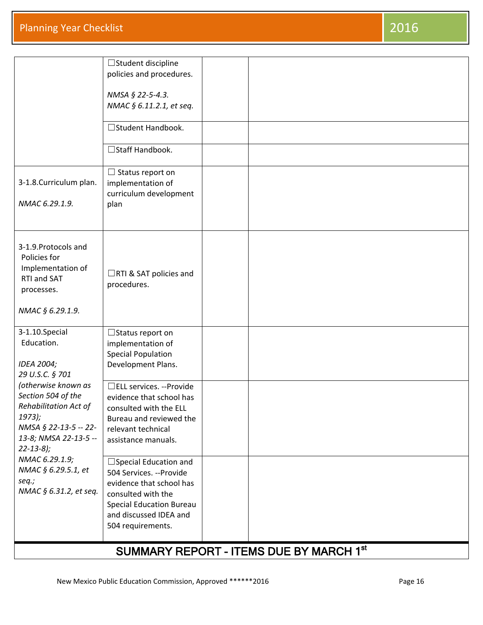| 3-1.8. Curriculum plan.<br>NMAC 6.29.1.9.                                                                                                         | $\Box$ Student discipline<br>policies and procedures.<br>NMSA § 22-5-4.3.<br>NMAC § 6.11.2.1, et seq.<br>□ Student Handbook.<br>□ Staff Handbook.<br>$\Box$ Status report on<br>implementation of<br>curriculum development<br>plan |  |  |
|---------------------------------------------------------------------------------------------------------------------------------------------------|-------------------------------------------------------------------------------------------------------------------------------------------------------------------------------------------------------------------------------------|--|--|
| 3-1.9. Protocols and<br>Policies for<br>Implementation of<br>RTI and SAT<br>processes.<br>NMAC § 6.29.1.9.                                        | □RTI & SAT policies and<br>procedures.                                                                                                                                                                                              |  |  |
| 3-1.10.Special<br>Education.<br>IDEA 2004;<br>29 U.S.C. § 701                                                                                     | $\Box$ Status report on<br>implementation of<br><b>Special Population</b><br>Development Plans.                                                                                                                                     |  |  |
| (otherwise known as<br>Section 504 of the<br>Rehabilitation Act of<br>1973);<br>NMSA § 22-13-5 -- 22-<br>13-8; NMSA 22-13-5 --<br>$22 - 13 - 8$ ; | □ELL services. --Provide<br>evidence that school has<br>consulted with the ELL<br>Bureau and reviewed the<br>relevant technical<br>assistance manuals.                                                                              |  |  |
| NMAC 6.29.1.9;<br>NMAC § 6.29.5.1, et<br>seq.;<br>NMAC § 6.31.2, et seq.                                                                          | $\Box$ Special Education and<br>504 Services. -- Provide<br>evidence that school has<br>consulted with the<br><b>Special Education Bureau</b><br>and discussed IDEA and<br>504 requirements.                                        |  |  |

## SUMMARY REPORT - ITEMS DUE BY MARCH 1st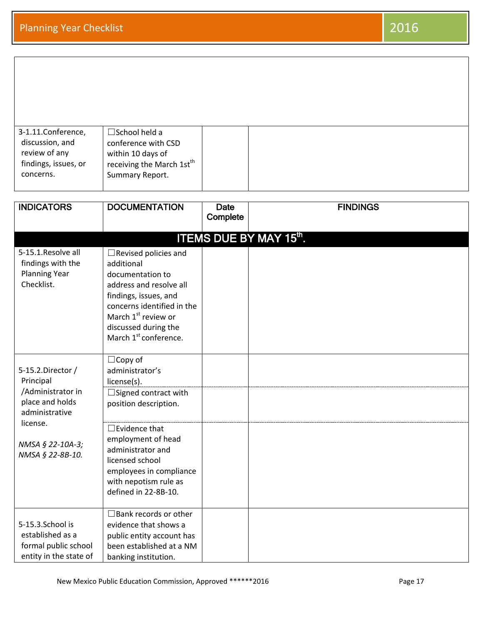| 3-1.11.Conference,<br>discussion, and<br>review of any<br>findings, issues, or<br>concerns.                                                  | $\square$ School held a<br>conference with CSD<br>within 10 days of<br>receiving the March 1st <sup>th</sup><br>Summary Report.                                                                                                                                               |                         |                               |
|----------------------------------------------------------------------------------------------------------------------------------------------|-------------------------------------------------------------------------------------------------------------------------------------------------------------------------------------------------------------------------------------------------------------------------------|-------------------------|-------------------------------|
| <b>INDICATORS</b>                                                                                                                            | <b>DOCUMENTATION</b>                                                                                                                                                                                                                                                          | <b>Date</b><br>Complete | <b>FINDINGS</b>               |
| 5-15.1. Resolve all<br>findings with the<br><b>Planning Year</b><br>Checklist.                                                               | $\Box$ Revised policies and<br>additional<br>documentation to<br>address and resolve all<br>findings, issues, and<br>concerns identified in the<br>March 1 <sup>st</sup> review or<br>discussed during the<br>March 1 <sup>st</sup> conference.                               |                         | <b>ITEMS DUE BY MAY 15th.</b> |
| 5-15.2.Director /<br>Principal<br>/Administrator in<br>place and holds<br>administrative<br>license.<br>NMSA § 22-10A-3;<br>NMSA § 22-8B-10. | $\Box$ Copy of<br>administrator's<br>license(s).<br>$\Box$ Signed contract with<br>position description.<br>$\square$ Evidence that<br>employment of head<br>administrator and<br>licensed school<br>employees in compliance<br>with nepotism rule as<br>defined in 22-8B-10. |                         |                               |
| 5-15.3.School is<br>established as a<br>formal public school<br>entity in the state of                                                       | $\Box$ Bank records or other<br>evidence that shows a<br>public entity account has<br>been established at a NM<br>banking institution.                                                                                                                                        |                         |                               |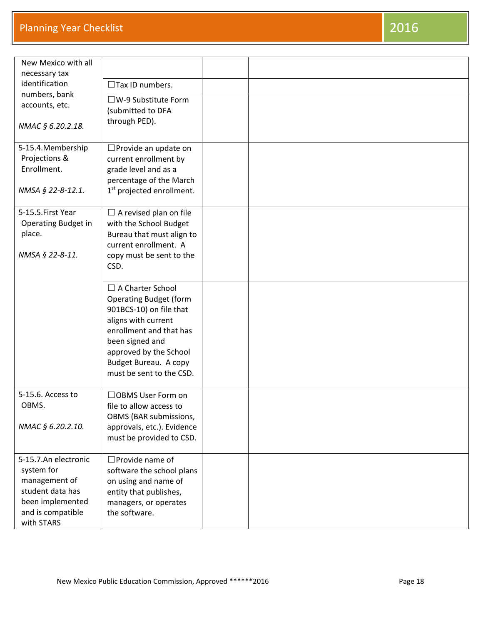| New Mexico with all                 |                                                        |  |
|-------------------------------------|--------------------------------------------------------|--|
| necessary tax                       |                                                        |  |
| identification                      | $\Box$ Tax ID numbers.                                 |  |
| numbers, bank                       | $\square$ W-9 Substitute Form                          |  |
| accounts, etc.                      | (submitted to DFA                                      |  |
| NMAC § 6.20.2.18.                   | through PED).                                          |  |
|                                     |                                                        |  |
| 5-15.4. Membership<br>Projections & | □ Provide an update on                                 |  |
| Enrollment.                         | current enrollment by<br>grade level and as a          |  |
|                                     | percentage of the March                                |  |
| NMSA § 22-8-12.1.                   | 1 <sup>st</sup> projected enrollment.                  |  |
|                                     |                                                        |  |
| 5-15.5.First Year                   | $\Box$ A revised plan on file                          |  |
| Operating Budget in                 | with the School Budget                                 |  |
| place.                              | Bureau that must align to                              |  |
|                                     | current enrollment. A                                  |  |
| NMSA § 22-8-11.                     | copy must be sent to the                               |  |
|                                     | CSD.                                                   |  |
|                                     | $\Box$ A Charter School                                |  |
|                                     | <b>Operating Budget (form</b>                          |  |
|                                     | 901BCS-10) on file that                                |  |
|                                     | aligns with current                                    |  |
|                                     | enrollment and that has                                |  |
|                                     | been signed and                                        |  |
|                                     | approved by the School                                 |  |
|                                     | Budget Bureau. A copy                                  |  |
|                                     | must be sent to the CSD.                               |  |
|                                     |                                                        |  |
| 5-15.6. Access to                   | □OBMS User Form on                                     |  |
| OBMS.                               | file to allow access to                                |  |
|                                     | OBMS (BAR submissions,                                 |  |
| NMAC § 6.20.2.10.                   | approvals, etc.). Evidence<br>must be provided to CSD. |  |
|                                     |                                                        |  |
| 5-15.7.An electronic                | $\square$ Provide name of                              |  |
| system for                          | software the school plans                              |  |
| management of                       | on using and name of                                   |  |
| student data has                    | entity that publishes,                                 |  |
| been implemented                    | managers, or operates                                  |  |
| and is compatible                   | the software.                                          |  |
| with STARS                          |                                                        |  |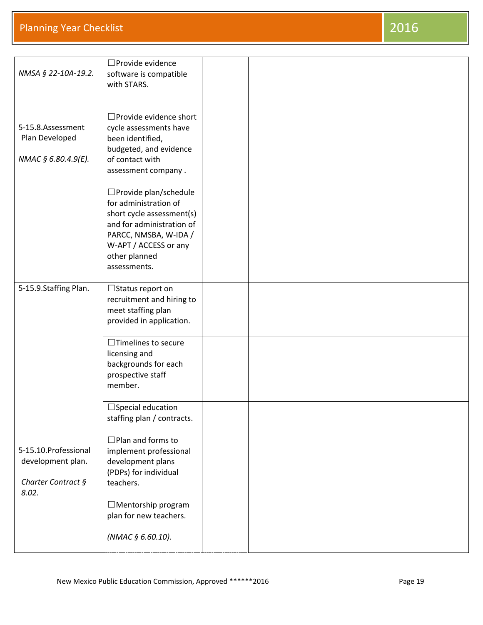| NMSA § 22-10A-19.2.                                                       | □ Provide evidence<br>software is compatible<br>with STARS.                                                                                                                                   |  |
|---------------------------------------------------------------------------|-----------------------------------------------------------------------------------------------------------------------------------------------------------------------------------------------|--|
| 5-15.8.Assessment<br>Plan Developed<br>NMAC § 6.80.4.9(E).                | □ Provide evidence short<br>cycle assessments have<br>been identified,<br>budgeted, and evidence<br>of contact with<br>assessment company.                                                    |  |
|                                                                           | □ Provide plan/schedule<br>for administration of<br>short cycle assessment(s)<br>and for administration of<br>PARCC, NMSBA, W-IDA /<br>W-APT / ACCESS or any<br>other planned<br>assessments. |  |
| 5-15.9.Staffing Plan.                                                     | $\Box$ Status report on<br>recruitment and hiring to<br>meet staffing plan<br>provided in application.                                                                                        |  |
|                                                                           | $\Box$ Timelines to secure<br>licensing and<br>backgrounds for each<br>prospective staff<br>member.                                                                                           |  |
|                                                                           | $\Box$ Special education<br>staffing plan / contracts.                                                                                                                                        |  |
| 5-15.10. Professional<br>development plan.<br>Charter Contract §<br>8.02. | $\Box$ Plan and forms to<br>implement professional<br>development plans<br>(PDPs) for individual<br>teachers.                                                                                 |  |
|                                                                           | $\Box$ Mentorship program<br>plan for new teachers.<br>(NMAC § 6.60.10).                                                                                                                      |  |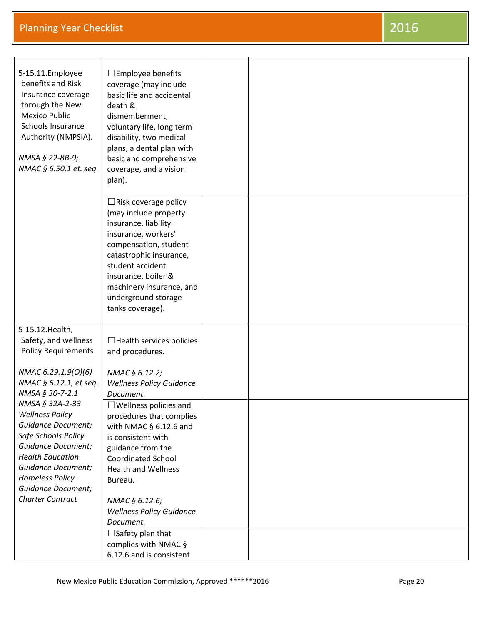| 5-15.11. Employee<br>benefits and Risk<br>Insurance coverage<br>through the New<br><b>Mexico Public</b><br>Schools Insurance<br>Authority (NMPSIA).<br>NMSA § 22-8B-9;<br>NMAC § 6.50.1 et. seq.                                                                     | $\square$ Employee benefits<br>coverage (may include<br>basic life and accidental<br>death &<br>dismemberment,<br>voluntary life, long term<br>disability, two medical<br>plans, a dental plan with<br>basic and comprehensive<br>coverage, and a vision<br>plan).                                  |  |
|----------------------------------------------------------------------------------------------------------------------------------------------------------------------------------------------------------------------------------------------------------------------|-----------------------------------------------------------------------------------------------------------------------------------------------------------------------------------------------------------------------------------------------------------------------------------------------------|--|
|                                                                                                                                                                                                                                                                      | $\Box$ Risk coverage policy<br>(may include property<br>insurance, liability<br>insurance, workers'<br>compensation, student<br>catastrophic insurance,<br>student accident<br>insurance, boiler &<br>machinery insurance, and<br>underground storage<br>tanks coverage).                           |  |
| 5-15.12. Health,<br>Safety, and wellness<br><b>Policy Requirements</b>                                                                                                                                                                                               | $\Box$ Health services policies<br>and procedures.                                                                                                                                                                                                                                                  |  |
| NMAC 6.29.1.9(0)(6)<br>NMAC § 6.12.1, et seq.<br>NMSA § 30-7-2.1                                                                                                                                                                                                     | NMAC § 6.12.2;<br><b>Wellness Policy Guidance</b><br>Document.                                                                                                                                                                                                                                      |  |
| NMSA § 32A-2-33<br><b>Wellness Policy</b><br><b>Guidance Document;</b><br>Safe Schools Policy<br><b>Guidance Document;</b><br><b>Health Education</b><br><b>Guidance Document;</b><br><b>Homeless Policy</b><br><b>Guidance Document;</b><br><b>Charter Contract</b> | $\Box$ Wellness policies and<br>procedures that complies<br>with NMAC $\S$ 6.12.6 and<br>is consistent with<br>guidance from the<br><b>Coordinated School</b><br><b>Health and Wellness</b><br>Bureau.<br>NMAC § 6.12.6;<br><b>Wellness Policy Guidance</b><br>Document.<br>$\Box$ Safety plan that |  |
|                                                                                                                                                                                                                                                                      | complies with NMAC §<br>6.12.6 and is consistent                                                                                                                                                                                                                                                    |  |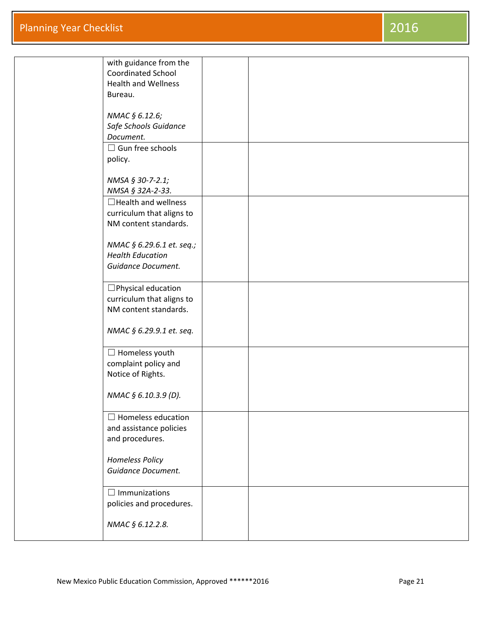| with guidance from the<br><b>Coordinated School</b> |  |  |
|-----------------------------------------------------|--|--|
| <b>Health and Wellness</b>                          |  |  |
| Bureau.                                             |  |  |
|                                                     |  |  |
| NMAC § 6.12.6;                                      |  |  |
| Safe Schools Guidance<br>Document.                  |  |  |
| $\Box$ Gun free schools                             |  |  |
| policy.                                             |  |  |
|                                                     |  |  |
| NMSA § 30-7-2.1;                                    |  |  |
| NMSA § 32A-2-33.                                    |  |  |
| $\Box$ Health and wellness                          |  |  |
| curriculum that aligns to<br>NM content standards.  |  |  |
|                                                     |  |  |
| NMAC § 6.29.6.1 et. seq.;                           |  |  |
| <b>Health Education</b>                             |  |  |
| Guidance Document.                                  |  |  |
| $\square$ Physical education                        |  |  |
| curriculum that aligns to                           |  |  |
| NM content standards.                               |  |  |
| NMAC § 6.29.9.1 et. seq.                            |  |  |
|                                                     |  |  |
| $\Box$ Homeless youth                               |  |  |
| complaint policy and                                |  |  |
| Notice of Rights.                                   |  |  |
| NMAC § 6.10.3.9 (D).                                |  |  |
|                                                     |  |  |
| $\Box$ Homeless education                           |  |  |
| and assistance policies                             |  |  |
| and procedures.                                     |  |  |
| <b>Homeless Policy</b>                              |  |  |
| Guidance Document.                                  |  |  |
|                                                     |  |  |
| $\Box$ Immunizations                                |  |  |
| policies and procedures.                            |  |  |
|                                                     |  |  |
| NMAC § 6.12.2.8.                                    |  |  |
|                                                     |  |  |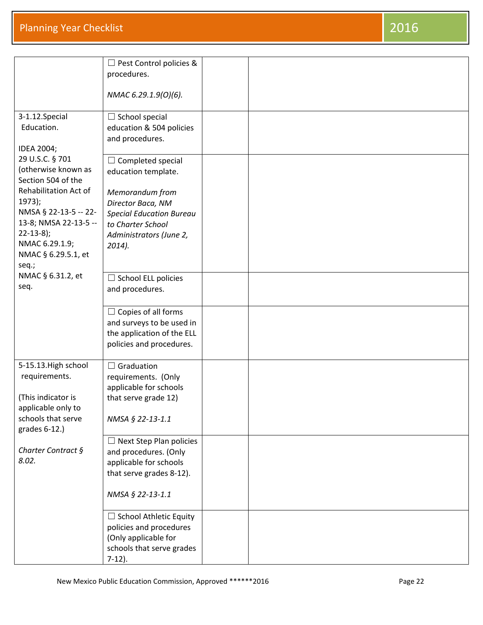|                                           | $\Box$ Pest Control policies &<br>procedures.            |  |
|-------------------------------------------|----------------------------------------------------------|--|
|                                           | NMAC 6.29.1.9(0)(6).                                     |  |
| 3-1.12.Special                            | $\Box$ School special                                    |  |
| Education.                                | education & 504 policies<br>and procedures.              |  |
| IDEA 2004;<br>29 U.S.C. § 701             | $\Box$ Completed special                                 |  |
| (otherwise known as<br>Section 504 of the | education template.                                      |  |
| Rehabilitation Act of                     | Memorandum from                                          |  |
| 1973);<br>NMSA § 22-13-5 -- 22-           | Director Baca, NM<br><b>Special Education Bureau</b>     |  |
| 13-8; NMSA 22-13-5 --<br>$22 - 13 - 8$ ;  | to Charter School<br>Administrators (June 2,             |  |
| NMAC 6.29.1.9;<br>NMAC § 6.29.5.1, et     | $2014$ ).                                                |  |
| seq.;                                     |                                                          |  |
| NMAC § 6.31.2, et<br>seq.                 | $\Box$ School ELL policies<br>and procedures.            |  |
|                                           | $\Box$ Copies of all forms<br>and surveys to be used in  |  |
|                                           | the application of the ELL<br>policies and procedures.   |  |
| 5-15.13. High school                      | $\Box$ Graduation                                        |  |
| requirements.                             | requirements. (Only<br>applicable for schools            |  |
| (This indicator is<br>applicable only to  | that serve grade 12)                                     |  |
| schools that serve<br>grades 6-12.)       | NMSA § 22-13-1.1                                         |  |
| Charter Contract §                        | $\Box$ Next Step Plan policies<br>and procedures. (Only  |  |
| 8.02.                                     | applicable for schools                                   |  |
|                                           | that serve grades 8-12).                                 |  |
|                                           | NMSA § 22-13-1.1                                         |  |
|                                           | $\Box$ School Athletic Equity<br>policies and procedures |  |
|                                           | (Only applicable for                                     |  |
|                                           | schools that serve grades<br>$7-12$ ).                   |  |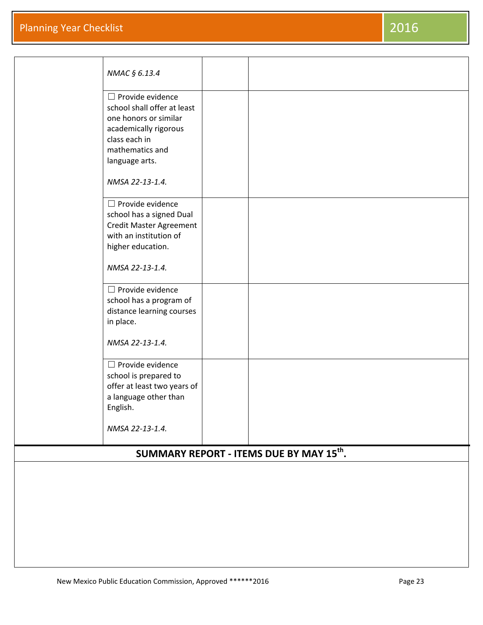|                                                      | NMAC § 6.13.4                                                                                                                        |  |  |  |
|------------------------------------------------------|--------------------------------------------------------------------------------------------------------------------------------------|--|--|--|
|                                                      | $\Box$ Provide evidence<br>school shall offer at least<br>one honors or similar<br>academically rigorous                             |  |  |  |
|                                                      | class each in<br>mathematics and<br>language arts.                                                                                   |  |  |  |
|                                                      | NMSA 22-13-1.4.                                                                                                                      |  |  |  |
|                                                      | $\Box$ Provide evidence<br>school has a signed Dual<br><b>Credit Master Agreement</b><br>with an institution of<br>higher education. |  |  |  |
|                                                      | NMSA 22-13-1.4.                                                                                                                      |  |  |  |
|                                                      | $\Box$ Provide evidence<br>school has a program of<br>distance learning courses<br>in place.                                         |  |  |  |
|                                                      | NMSA 22-13-1.4.                                                                                                                      |  |  |  |
|                                                      | $\Box$ Provide evidence<br>school is prepared to<br>offer at least two years of<br>a language other than<br>English.                 |  |  |  |
|                                                      | NMSA 22-13-1.4.                                                                                                                      |  |  |  |
| SUMMARY REPORT - ITEMS DUE BY MAY 15 <sup>th</sup> . |                                                                                                                                      |  |  |  |
|                                                      |                                                                                                                                      |  |  |  |
|                                                      |                                                                                                                                      |  |  |  |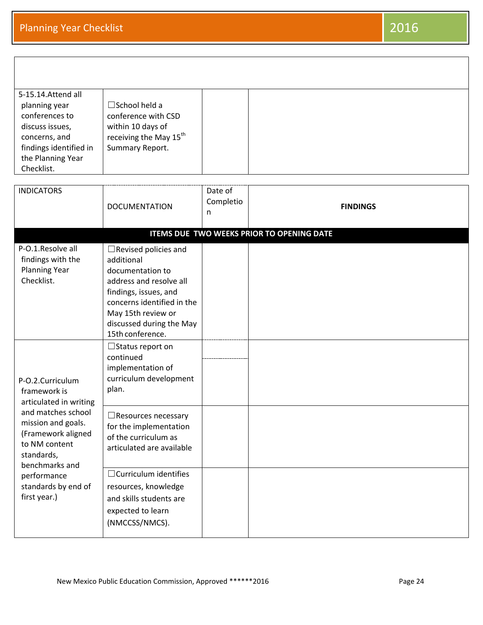| 5-15.14. Attend all    |                                    |  |
|------------------------|------------------------------------|--|
| planning year          | $\square$ School held a            |  |
| conferences to         | conference with CSD                |  |
| discuss issues,        | within 10 days of                  |  |
| concerns, and          | receiving the May 15 <sup>th</sup> |  |
| findings identified in | Summary Report.                    |  |
| the Planning Year      |                                    |  |
| Checklist.             |                                    |  |
|                        |                                    |  |
|                        |                                    |  |

|                                                                                                                                                                                                                                     | <b>INDICATORS</b>                                                                            | <b>DOCUMENTATION</b>                                                                                                                                                                                                  | Date of<br>Completio<br>n | <b>FINDINGS</b> |  |  |  |  |
|-------------------------------------------------------------------------------------------------------------------------------------------------------------------------------------------------------------------------------------|----------------------------------------------------------------------------------------------|-----------------------------------------------------------------------------------------------------------------------------------------------------------------------------------------------------------------------|---------------------------|-----------------|--|--|--|--|
|                                                                                                                                                                                                                                     | ITEMS DUE TWO WEEKS PRIOR TO OPENING DATE                                                    |                                                                                                                                                                                                                       |                           |                 |  |  |  |  |
|                                                                                                                                                                                                                                     | P-O.1.Resolve all<br>findings with the<br><b>Planning Year</b><br>Checklist.                 | $\Box$ Revised policies and<br>additional<br>documentation to<br>address and resolve all<br>findings, issues, and<br>concerns identified in the<br>May 15th review or<br>discussed during the May<br>15th conference. |                           |                 |  |  |  |  |
| P-O.2.Curriculum<br>framework is<br>articulated in writing<br>and matches school<br>mission and goals.<br>(Framework aligned<br>to NM content<br>standards,<br>benchmarks and<br>performance<br>standards by end of<br>first year.) | $\Box$ Status report on<br>continued<br>implementation of<br>curriculum development<br>plan. |                                                                                                                                                                                                                       |                           |                 |  |  |  |  |
|                                                                                                                                                                                                                                     |                                                                                              | $\Box$ Resources necessary<br>for the implementation<br>of the curriculum as<br>articulated are available                                                                                                             |                           |                 |  |  |  |  |
|                                                                                                                                                                                                                                     |                                                                                              | $\Box$ Curriculum identifies<br>resources, knowledge<br>and skills students are<br>expected to learn<br>(NMCCSS/NMCS).                                                                                                |                           |                 |  |  |  |  |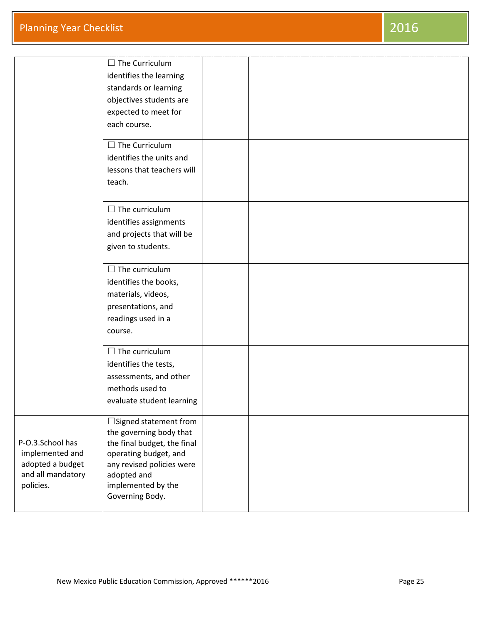|                   | $\Box$ The Curriculum                                  |  |
|-------------------|--------------------------------------------------------|--|
|                   | identifies the learning                                |  |
|                   | standards or learning                                  |  |
|                   | objectives students are                                |  |
|                   | expected to meet for                                   |  |
|                   | each course.                                           |  |
|                   |                                                        |  |
|                   | $\Box$ The Curriculum                                  |  |
|                   | identifies the units and                               |  |
|                   | lessons that teachers will                             |  |
|                   | teach.                                                 |  |
|                   |                                                        |  |
|                   | $\Box$ The curriculum                                  |  |
|                   | identifies assignments                                 |  |
|                   | and projects that will be                              |  |
|                   | given to students.                                     |  |
|                   |                                                        |  |
|                   | $\Box$ The curriculum                                  |  |
|                   | identifies the books,                                  |  |
|                   | materials, videos,                                     |  |
|                   | presentations, and                                     |  |
|                   | readings used in a                                     |  |
|                   | course.                                                |  |
|                   | $\Box$ The curriculum                                  |  |
|                   | identifies the tests,                                  |  |
|                   | assessments, and other                                 |  |
|                   | methods used to                                        |  |
|                   | evaluate student learning                              |  |
|                   |                                                        |  |
|                   | $\Box$ Signed statement from                           |  |
| P-O.3.School has  | the governing body that<br>the final budget, the final |  |
| implemented and   | operating budget, and                                  |  |
| adopted a budget  | any revised policies were                              |  |
| and all mandatory | adopted and                                            |  |
| policies.         | implemented by the                                     |  |
|                   | Governing Body.                                        |  |
|                   |                                                        |  |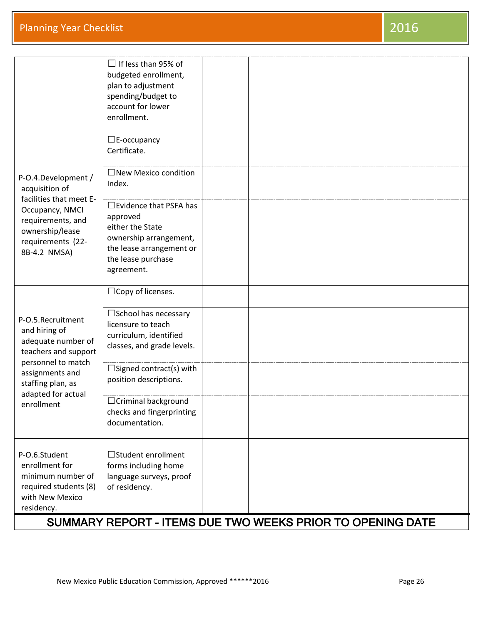|                                                                                                                         | $\Box$ If less than 95% of<br>budgeted enrollment,<br>plan to adjustment<br>spending/budget to<br>account for lower<br>enrollment.                      |                                                            |
|-------------------------------------------------------------------------------------------------------------------------|---------------------------------------------------------------------------------------------------------------------------------------------------------|------------------------------------------------------------|
|                                                                                                                         | $\square$ E-occupancy<br>Certificate.                                                                                                                   |                                                            |
| P-O.4.Development /<br>acquisition of                                                                                   | $\square$ New Mexico condition<br>Index.                                                                                                                |                                                            |
| facilities that meet E-<br>Occupancy, NMCI<br>requirements, and<br>ownership/lease<br>requirements (22-<br>8B-4.2 NMSA) | $\Box$ Evidence that PSFA has<br>approved<br>either the State<br>ownership arrangement,<br>the lease arrangement or<br>the lease purchase<br>agreement. |                                                            |
|                                                                                                                         | $\Box$ Copy of licenses.                                                                                                                                |                                                            |
| P-O.5.Recruitment<br>and hiring of<br>adequate number of<br>teachers and support                                        | □ School has necessary<br>licensure to teach<br>curriculum, identified<br>classes, and grade levels.                                                    |                                                            |
| personnel to match<br>assignments and<br>staffing plan, as                                                              | $\square$ Signed contract(s) with<br>position descriptions.                                                                                             |                                                            |
| adapted for actual<br>enrollment                                                                                        | □ Criminal background<br>checks and fingerprinting<br>documentation.                                                                                    |                                                            |
| P-O.6.Student<br>enrollment for<br>minimum number of<br>required students (8)<br>with New Mexico<br>residency.          | □Student enrollment<br>forms including home<br>language surveys, proof<br>of residency.                                                                 |                                                            |
|                                                                                                                         |                                                                                                                                                         | SUMMARY REPORT - ITEMS DUE TWO WEEKS PRIOR TO OPENING DATE |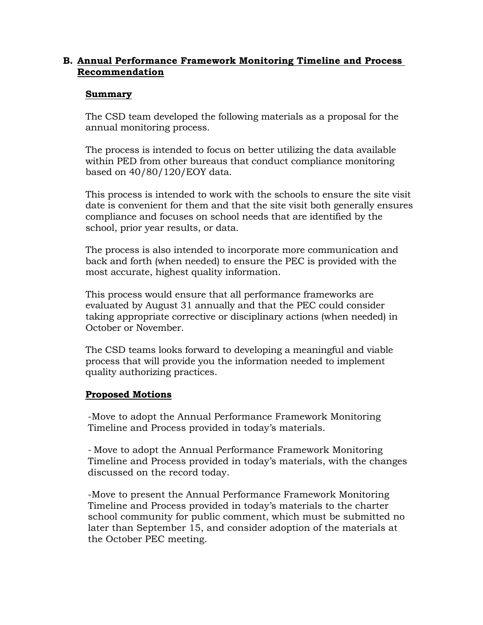### **B. Annual Performance Framework Monitoring Timeline and Process Recommendation**

### **Summary**

The CSD team developed the following materials as a proposal for the annual monitoring process.

The process is intended to focus on better utilizing the data available within PED from other bureaus that conduct compliance monitoring based on 40/80/120/EOY data.

This process is intended to work with the schools to ensure the site visit date is convenient for them and that the site visit both generally ensures compliance and focuses on school needs that are identified by the school, prior year results, or data.

The process is also intended to incorporate more communication and back and forth (when needed) to ensure the PEC is provided with the most accurate, highest quality information.

This process would ensure that all performance frameworks are evaluated by August 31 annually and that the PEC could consider taking appropriate corrective or disciplinary actions (when needed) in October or November.

The CSD teams looks forward to developing a meaningful and viable process that will provide you the information needed to implement quality authorizing practices.

### **Proposed Motions**

-Move to adopt the Annual Performance Framework Monitoring Timeline and Process provided in today's materials.

- Move to adopt the Annual Performance Framework Monitoring Timeline and Process provided in today's materials, with the changes discussed on the record today.

-Move to present the Annual Performance Framework Monitoring Timeline and Process provided in today's materials to the charter school community for public comment, which must be submitted no later than September 15, and consider adoption of the materials at the October PEC meeting.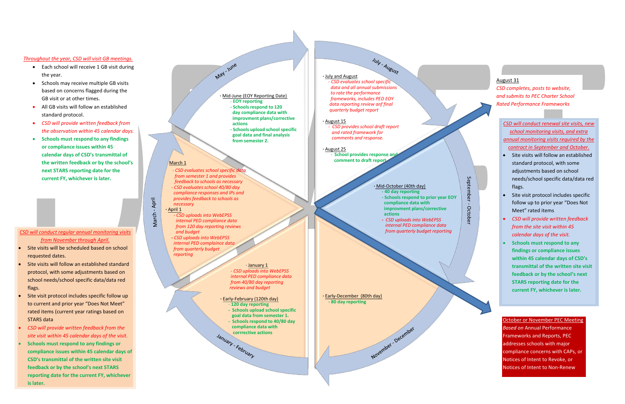#### **·** July and August

 - *CSD evaluates school specific data and all annual submissions to rate the performance frameworks, includes PED EOY data reporting review anf final quarterly budget report* 

July - August

#### **·** August 15

 - *CSD provides school draft report and rated framework for comments and response.*

#### **·** August 25 **School provides response and comment to draft report**

### **·** Mid-October (40th day)

November December

 - **120 day reporting - Schools upload school specific goal data from semester 1. - Schools respond to 40/80 day compliance data with Corrrective actions** 

- **- 40 day reporting - Schools respond to prior year EOY compliance data with improvment plans/corrective actions**
- *CSD uploads into WebEPSS internal PED compliance data from quarterly budget reporting*

**·** Early-December (80th day)  **- 80 day reporting**

#### · January 1

 *- CSD uploads into WebEPSS internal PED compliance data from 40/80 day reporting reviews and budget*

#### **·** Early-February (120th day)

#### **·** March 1

 - *CSD evaluates school specific data from semester 1 and provides feedback to schools as necessary - CSD evaluates school 40/80 day compliance responses and IPs and provides feedback to schools as necessary*

### **·** April 1

March - April

 - *CSD uploads into WebEPSS internal PED compliance data from 120 day reporting reviews and budget*

 **-** *CSD uploads into WebEPSS internal PED complaince data from quarterly budget reporting* 

#### **·** Mid-June (EOY Reporting Date) - **EOY reporting - Schools respond to 120 day compliance data with**

May - June

 **improvment plans/corrective actions - Schools upload school specific**

 **goal data and final analysis from semester 2.**

### August 31

*CSD completes, posts to website, and submits to PEC Charter School Rated Performance Frameworks*

### *CSD will conduct regular annual monitoring visits from November through April.*

- Each school will receive 1 GB visit during the year.
- Schools may receive multiple GB visits based on concerns flagged during the GB visit or at other times.
- All GB visits will follow an established standard protocol.
- *CSD will provide written feedback from the observation within 45 calendar days.*
- **Schools must respond to any findings or compliance issues within 45 calendar days of CSD's transmittal of the written feedback or by the school's next STARS reporting date for the current FY, whichever is later.**

- Site visits will be scheduled based on school requested dates.
- Site visits will follow an established standard protocol, with some adjustments based on school needs/school specific data/data red flags.
- Site visit protocol includes specific follow up to current and prior year "Does Not Meet" rated items (current year ratings based on STARS data
- *CSD will provide written feedback from the site visit within 45 calendar days of the visit*.
- **Schools must respond to any findings or compliance issues within 45 calendar days of CSD's transmittal of the written site visit feedback or by the school's next STARS reporting date for the current FY, whichever is later.**

*CSD will conduct renewal site visits, new school monitoring visits, and extra annual monitoring visits required by the contract in September and October.*

- Site visits will follow an established standard protocol, with some adjustments based on school needs/school specific data/data red flags.
- Site visit protocol includes specific follow up to prior year "Does Not Meet" rated items
- *CSD will provide written feedback from the site visit within 45 calendar days of the visit.*
- **Schools must respond to any findings or compliance issues within 45 calendar days of CSD's transmittal of the written site visit feedback or by the school's next STARS reporting date for the current FY, whichever is later.**

### *Throughout the year, CSD will visit GB meetings.*

October or November PEC Meeting *Based on* Annual Performance Frameworks and Reports, PEC addresses schools with major compliance concerns with CAPs, or Notices of Intent to Revoke, or Notices of Intent to Non-Renew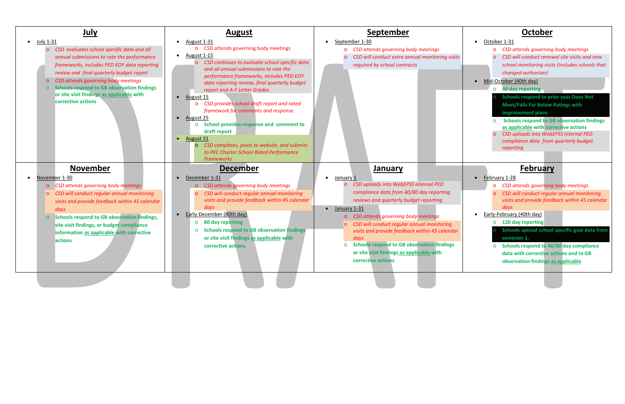| <u>July</u>                                                                                                                                                                                                                                                                                                                                                                          | <b>August</b>                                                                                                                                                                                                                                                                                                                                                                                                                                                                                                                                                                                                                                                    | <b>September</b>                                                                                                                                                                                                                                                                                                                                                                                                                                                                    | October                                                                                                                                                                                                                                                                                                                                                                                                                                                                                                                                                                 |
|--------------------------------------------------------------------------------------------------------------------------------------------------------------------------------------------------------------------------------------------------------------------------------------------------------------------------------------------------------------------------------------|------------------------------------------------------------------------------------------------------------------------------------------------------------------------------------------------------------------------------------------------------------------------------------------------------------------------------------------------------------------------------------------------------------------------------------------------------------------------------------------------------------------------------------------------------------------------------------------------------------------------------------------------------------------|-------------------------------------------------------------------------------------------------------------------------------------------------------------------------------------------------------------------------------------------------------------------------------------------------------------------------------------------------------------------------------------------------------------------------------------------------------------------------------------|-------------------------------------------------------------------------------------------------------------------------------------------------------------------------------------------------------------------------------------------------------------------------------------------------------------------------------------------------------------------------------------------------------------------------------------------------------------------------------------------------------------------------------------------------------------------------|
| July 1-31<br>$\bullet$<br>CSD evaluates school specific data and all<br>$\circ$<br>annual submissions to rate the performance<br>frameworks, includes PED EOY data reporting<br>review and final quarterly budget report<br>o CSD attends governing body meetings<br>○ Schools respond to GB observation findings<br>or site visit findings as applicable with<br>corrective actions | August 1-31<br>o CSD attends governing body meetings<br><b>August 1-15</b><br>CSD continues to evaluate school specific data<br>$\circ$<br>and all annual submissions to rate the<br>performance frameworks, includes PED EOY<br>data reporting review, final quarterly budget<br>report and A-F Letter Grades<br>$\bullet$ August 15<br>CSD provides school draft report and rated<br>$\circ$<br>framework for comments and response.<br>$\bullet$ August 25<br>School provides response and comment to<br>$\circ$<br>draft report<br>August 31<br>CSD completes, posts to website, and submits<br>to PEC Charter School Rated Performance<br><b>Frameworks</b> | September 1-30<br>CSD attends governing body meetings<br>$\circ$<br>CSD will conduct extra annual monitoring visits<br>required by school contracts                                                                                                                                                                                                                                                                                                                                 | October 1-31<br>o CSD attends governing body meetings<br>CSD will conduct renewal site visits and new<br>school monitoring visits (includes schools that<br>changed authorizer)<br>• Mid-October (40th day)<br><b>40 day reporting</b><br>$\circ$<br><b>Schools respond to prior year Does Not</b><br><b>Meet/Falls Far Below Ratings with</b><br>improvement plans<br><b>Schools respond to GB observation findings</b><br>as applicable with corrective actions<br><b>CSD uploads into WebEPSS internal PED</b><br>compliance data from quarterly budget<br>reporting |
| <b>November</b><br>November 1-30<br>o CSD attends governing body meetings<br>o CSD will conduct regular annual monitoring<br>visits and provide feedback within 45 calendar<br>days<br>o Schools respond to GB observation findings,<br>site visit findings, or budget compliance<br>information as applicable with corrective<br>actions                                            | <b>December</b><br>December 1-31<br>o CSD attends governing body meetings<br>CSD will conduct regular annual monitoring<br>$\circ$<br>visits and provide feedback within 45 calendar<br>days<br>• Early-December (80th day)<br>80 day reporting<br>$\circ$<br><b>Schools respond to GB observation findings</b><br>$\circ$<br>or site visit findings as applicable with<br>corrective actions                                                                                                                                                                                                                                                                    | <b>January</b><br>January 1<br>$\bullet$<br>CSD uploads into WebEPSS internal PED<br>compliance data from 40/80 day reporting<br>reviews and quarterly budget reporting<br>$\bullet$ January 1-31<br>CSD attends governing body meetings<br>$\circ$<br>CSD will conduct regular annual monitoring<br>visits and provide feedback within 45 calendar<br>days<br><b>Schools respond to GB observation findings</b><br>or site visit findings as applicable with<br>corrective actions | <b>February</b><br>• February 1-28<br>o CSD attends governing body meetings<br>CSD will conduct regular annual monitoring<br>$\circ$<br>visits and provide feedback within 45 calendar<br>days<br>Early-February (40th day)<br>$\circ$ 120 day reporting<br>Schools upload school specific goal data from<br>semester 1.<br>Schools respond to 40/80 day compliance<br>$\circ$<br>data with corrective actions and to GB<br>observation findings as applicable                                                                                                          |
|                                                                                                                                                                                                                                                                                                                                                                                      |                                                                                                                                                                                                                                                                                                                                                                                                                                                                                                                                                                                                                                                                  |                                                                                                                                                                                                                                                                                                                                                                                                                                                                                     |                                                                                                                                                                                                                                                                                                                                                                                                                                                                                                                                                                         |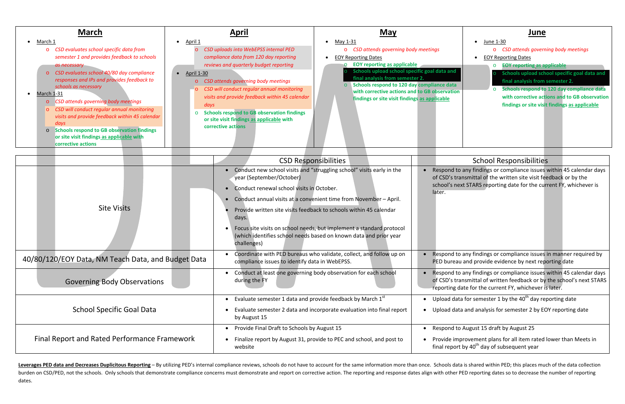| <b>March</b><br>March 1<br>CSD evaluates school specific data from<br>$\circ$<br>semester 1 and provides feedback to schools<br>as necessary<br>CSD evaluates school 40/80 day compliance<br>$\overline{O}$<br>responses and IPs and provides feedback to<br>schools as necessary<br>March 1-31<br>CSD attends governing body meetings<br>$\circ$<br>CSD will conduct regular annual monitoring<br>$\overline{O}$<br>visits and provide feedback within 45 calendar<br>days<br><b>Schools respond to GB observation findings</b><br>$\circ$<br>or site visit findings as applicable with<br>corrective actions | <b>April</b><br>April 1<br>CSD uploads into WebEPSS internal PED<br>compliance data from 120 day reporting<br>reviews and quarterly budget reporting<br><b>April 1-30</b><br>$\bullet$<br>CSD attends governing body meetings<br>CSD will conduct regular annual monitoring<br>$\circ$<br>visits and provide feedback within 45 calendar<br>days<br><b>Schools respond to GB observation findings</b><br>$\Omega$<br>or site visit findings as applicable with<br>corrective actions | <b>May</b><br>May 1-31<br>CSD attends governing body meetings<br>$\circ$<br><b>EOY Reporting Dates</b><br><b>EOY reporting as applicable</b><br>Schools upload school specific goal data and<br>final analysis from semester 2.<br>Schools respond to 120 day compliance data<br>with corrective actions and to GB observation<br>findings or site visit findings as applicable |
|----------------------------------------------------------------------------------------------------------------------------------------------------------------------------------------------------------------------------------------------------------------------------------------------------------------------------------------------------------------------------------------------------------------------------------------------------------------------------------------------------------------------------------------------------------------------------------------------------------------|--------------------------------------------------------------------------------------------------------------------------------------------------------------------------------------------------------------------------------------------------------------------------------------------------------------------------------------------------------------------------------------------------------------------------------------------------------------------------------------|---------------------------------------------------------------------------------------------------------------------------------------------------------------------------------------------------------------------------------------------------------------------------------------------------------------------------------------------------------------------------------|
|                                                                                                                                                                                                                                                                                                                                                                                                                                                                                                                                                                                                                |                                                                                                                                                                                                                                                                                                                                                                                                                                                                                      |                                                                                                                                                                                                                                                                                                                                                                                 |
|                                                                                                                                                                                                                                                                                                                                                                                                                                                                                                                                                                                                                |                                                                                                                                                                                                                                                                                                                                                                                                                                                                                      | <b>CSD Responsibilities</b>                                                                                                                                                                                                                                                                                                                                                     |
|                                                                                                                                                                                                                                                                                                                                                                                                                                                                                                                                                                                                                | year (September/October)<br>Conduct renewal school visits in October.                                                                                                                                                                                                                                                                                                                                                                                                                | Conduct new school visits and "struggling school" visits early in the<br>Respond to a<br>$\bullet$<br>of CSD's trar<br>school's next<br>later.<br>Conduct annual visits at a convenient time from Navember April                                                                                                                                                                |



## **School Responsibilities**

any findings or compliance issues within 45 calendar days nsmittal of the written site visit feedback or by the t STARS reporting date for the current FY, whichever is

any findings or compliance issues in manner required by and provide evidence by next reporting date

any findings or compliance issues within 45 calendar days insmittal of written feedback or by the school's next STARS ate for the current FY, whichever is later.

a for semester 1 by the 40<sup>th</sup> day reporting date

and analysis for semester 2 by EOY reporting date

August 15 draft by August 25

rovement plans for all item rated lower than Meets in by 40<sup>th</sup> day of subsequent year

Leverages PED data and Decreases Duplicitous Reporting - By utilizing PED's internal compliance reviews, schools do not have to account for the same information more than once. Schools data is shared within PED; this place burden on CSD/PED, not the schools. Only schools that demonstrate compliance concerns must demonstrate and report on corrective action. The reporting and response dates align with other PED reporting dates so to decrease t dates.

|                                              |                                                    | year (September/October)<br>Conduct renewal school visits in October.<br>$\bullet$                                                                       | of CSD's trai<br>school's nex<br>later.                 |
|----------------------------------------------|----------------------------------------------------|----------------------------------------------------------------------------------------------------------------------------------------------------------|---------------------------------------------------------|
|                                              |                                                    | Conduct annual visits at a convenient time from November - April.<br>$\bullet$                                                                           |                                                         |
| <b>Site Visits</b>                           |                                                    | Provide written site visits feedback to schools within 45 calendar<br>days.                                                                              |                                                         |
|                                              |                                                    | Focus site visits on school needs, but implement a standard protocol<br>(which identifies school needs based on known data and prior year<br>challenges) |                                                         |
|                                              | 40/80/120/EOY Data, NM Teach Data, and Budget Data | Coordinate with PED bureaus who validate, collect, and follow up on<br>compliance issues to identify data in WebEPSS.                                    | Respond to<br>$\bullet$<br>PED bureau                   |
|                                              | <b>Governing Body Observations</b>                 | Conduct at least one governing body observation for each school<br>$\bullet$<br>during the FY                                                            | Respond to<br>$\bullet$<br>of CSD's tra<br>reporting da |
| <b>School Specific Goal Data</b>             |                                                    | Evaluate semester 1 data and provide feedback by March 1st<br>$\bullet$                                                                                  | Upload data<br>$\bullet$                                |
|                                              |                                                    | Evaluate semester 2 data and incorporate evaluation into final report<br>by August 15                                                                    | Upload data<br>$\bullet$                                |
| Final Report and Rated Performance Framework |                                                    | Provide Final Draft to Schools by August 15<br>$\bullet$                                                                                                 | Respond to<br>$\bullet$                                 |
|                                              |                                                    | Finalize report by August 31, provide to PEC and school, and post to<br>$\bullet$<br>website                                                             | Provide imp<br>final report                             |
|                                              |                                                    |                                                                                                                                                          |                                                         |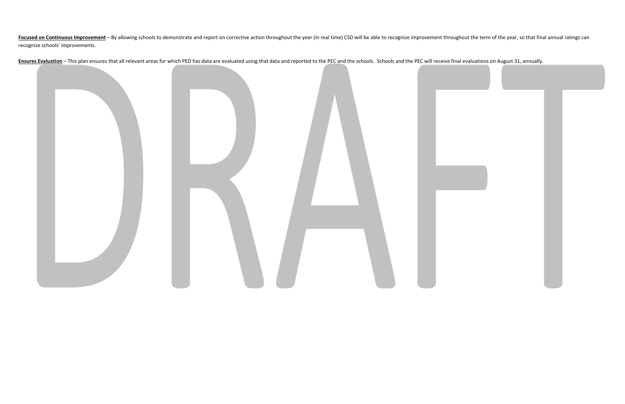Focused on Continuous Improvement - By allowing schools to demonstrate and report on corrective action throughout the year (in real time) CSD will be able to recognize improvement throughout the term of the year, so that f recognize schools' improvements.

Ensures Evaluation - This plan ensures that all relevant areas for which PED has data are evaluated using that data and reported to the PEC and the schools. Schools and the PEC will receive final evaluations on August 31,